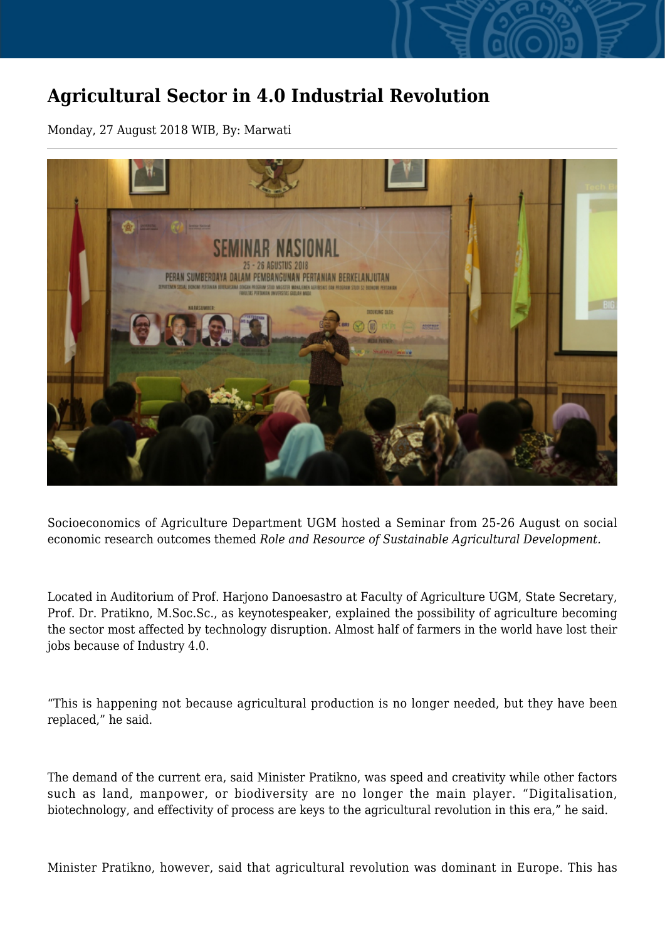## **Agricultural Sector in 4.0 Industrial Revolution**

Monday, 27 August 2018 WIB, By: Marwati



Socioeconomics of Agriculture Department UGM hosted a Seminar from 25-26 August on social economic research outcomes themed *Role and Resource of Sustainable Agricultural Development.*

Located in Auditorium of Prof. Harjono Danoesastro at Faculty of Agriculture UGM, State Secretary, Prof. Dr. Pratikno, M.Soc.Sc., as keynotespeaker, explained the possibility of agriculture becoming the sector most affected by technology disruption. Almost half of farmers in the world have lost their jobs because of Industry 4.0.

"This is happening not because agricultural production is no longer needed, but they have been replaced," he said.

The demand of the current era, said Minister Pratikno, was speed and creativity while other factors such as land, manpower, or biodiversity are no longer the main player. "Digitalisation, biotechnology, and effectivity of process are keys to the agricultural revolution in this era," he said.

Minister Pratikno, however, said that agricultural revolution was dominant in Europe. This has